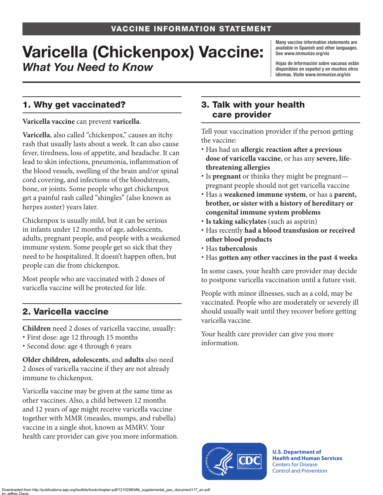# Varicella (Chickenpox) Vaccine: *What You Need to Know*

Many vaccine information statements are available in Spanish and other languages. See [www.immunize.org/vis](http://www.immunize.org/vis)

Hojas de información sobre vacunas están disponibles en español y en muchos otros idiomas. Visite [www.immunize.org/vis](http://www.immunize.org/vis)

## 1. Why get vaccinated?

**Varicella vaccine** can prevent **varicella**.

**Varicella**, also called "chickenpox," causes an itchy rash that usually lasts about a week. It can also cause fever, tiredness, loss of appetite, and headache. It can lead to skin infections, pneumonia, inflammation of the blood vessels, swelling of the brain and/or spinal cord covering, and infections of the bloodstream, bone, or joints. Some people who get chickenpox get a painful rash called "shingles" (also known as herpes zoster) years later.

Chickenpox is usually mild, but it can be serious in infants under 12 months of age, adolescents, adults, pregnant people, and people with a weakened immune system. Some people get so sick that they need to be hospitalized. It doesn't happen often, but people can die from chickenpox.

Most people who are vaccinated with 2 doses of varicella vaccine will be protected for life.

# 2. Varicella vaccine

**Children** need 2 doses of varicella vaccine, usually:

- First dose: age 12 through 15 months
- Second dose: age 4 through 6 years

**Older children, adolescents**, and **adults** also need 2 doses of varicella vaccine if they are not already immune to chickenpox.

Varicella vaccine may be given at the same time as other vaccines. Also, a child between 12 months and 12 years of age might receive varicella vaccine together with MMR (measles, mumps, and rubella) vaccine in a single shot, known as MMRV. Your health care provider can give you more information.

#### 3. Talk with your health care provider

Tell your vaccination provider if the person getting the vaccine:

- Has had an **allergic reaction after a previous dose of varicella vaccine**, or has any **severe, lifethreatening allergies**
- Is **pregnant** or thinks they might be pregnant pregnant people should not get varicella vaccine
- Has a **weakened immune system**, or has a **parent, brother, or sister with a history of hereditary or congenital immune system problems**
- **Is taking salicylates** (such as aspirin)
- Has recently **had a blood transfusion or received other blood products**
- Has **tuberculosis**
- Has **gotten any other vaccines in the past 4 weeks**

In some cases, your health care provider may decide to postpone varicella vaccination until a future visit.

People with minor illnesses, such as a cold, may be vaccinated. People who are moderately or severely ill should usually wait until they recover before getting varicella vaccine.

Your health care provider can give you more information.



**U.S. Department of Health and Human Services**  Centers for Disease Control and Prevention